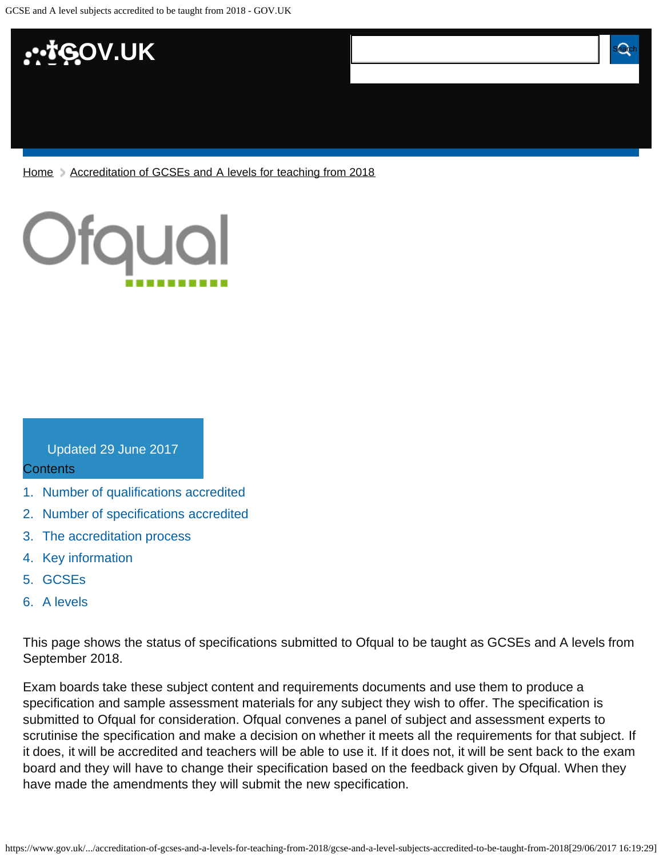

[Home](https://www.gov.uk/) > [Accreditation of GCSEs and A levels for teaching from 2018](https://www.gov.uk/government/publications/accreditation-of-gcses-and-a-levels-for-teaching-from-2018)



#### Updated 29 June 2017

#### **Contents**

- [1.](#page-1-0) [Number of qualifications accredited](#page-1-0)
- [2.](#page-1-1) [Number of specifications accredited](#page-1-1)
- [3.](#page-1-2) [The accreditation process](#page-1-2)
- [4.](#page-1-3) [Key information](#page-1-3)
- [5.](#page-2-0) [GCSEs](#page-2-0)
- [6.](#page-2-1) [A levels](#page-2-1)

This page shows the status of specifications submitted to Ofqual to be taught as GCSEs and A levels from September 2018.

Exam boards take these subject content and requirements documents and use them to produce a specification and sample assessment materials for any subject they wish to offer. The specification is submitted to Ofqual for consideration. Ofqual convenes a panel of subject and assessment experts to scrutinise the specification and make a decision on whether it meets all the requirements for that subject. If it does, it will be accredited and teachers will be able to use it. If it does not, it will be sent back to the exam board and they will have to change their specification based on the feedback given by Ofqual. When they have made the amendments they will submit the new specification.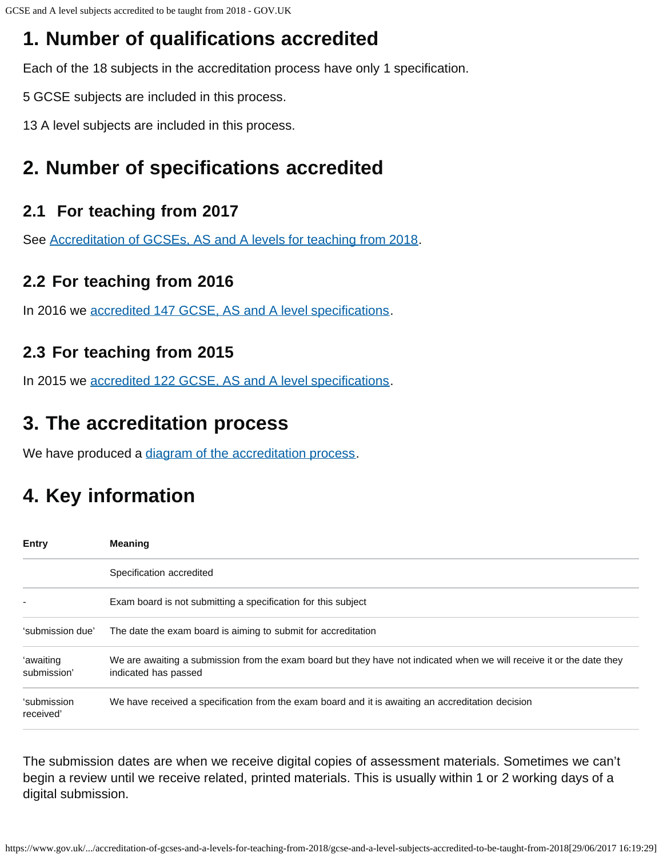## <span id="page-1-0"></span>**1. Number of qualifications accredited**

Each of the 18 subjects in the accreditation process have only 1 specification.

5 GCSE subjects are included in this process.

13 A level subjects are included in this process.

### <span id="page-1-1"></span>**2. Number of specifications accredited**

### **2.1 For teaching from 2017**

See [Accreditation of GCSEs, AS and A levels for teaching from 2018.](https://www.gov.uk/government/publications/accreditation-of-gcses-as-a-levels-for-teaching-from-2017)

#### **2.2 For teaching from 2016**

In 2016 we [accredited 147 GCSE, AS and A level specifications.](https://www.gov.uk/government/publications/accreditation-of-gcses-as-a-levels-for-teaching-from-2016)

### **2.3 For teaching from 2015**

In 2015 we [accredited 122 GCSE, AS and A level specifications.](https://www.gov.uk/government/publications/new-gcses-as-and-a-levels-accredited-to-be-taught-from-2015)

### <span id="page-1-2"></span>**3. The accreditation process**

We have produced a [diagram of the accreditation process.](https://www.gov.uk/government/publications/your-qualification-our-regulation-gcse-as-and-a-level-reforms#attachment_1634078)

## <span id="page-1-3"></span>**4. Key information**

| <b>Entry</b>             | <b>Meaning</b>                                                                                                                                |
|--------------------------|-----------------------------------------------------------------------------------------------------------------------------------------------|
|                          | Specification accredited                                                                                                                      |
|                          | Exam board is not submitting a specification for this subject                                                                                 |
| 'submission due'         | The date the exam board is aiming to submit for accreditation                                                                                 |
| 'awaiting<br>submission' | We are awaiting a submission from the exam board but they have not indicated when we will receive it or the date they<br>indicated has passed |
| 'submission<br>received' | We have received a specification from the exam board and it is awaiting an accreditation decision                                             |

The submission dates are when we receive digital copies of assessment materials. Sometimes we can't begin a review until we receive related, printed materials. This is usually within 1 or 2 working days of a digital submission.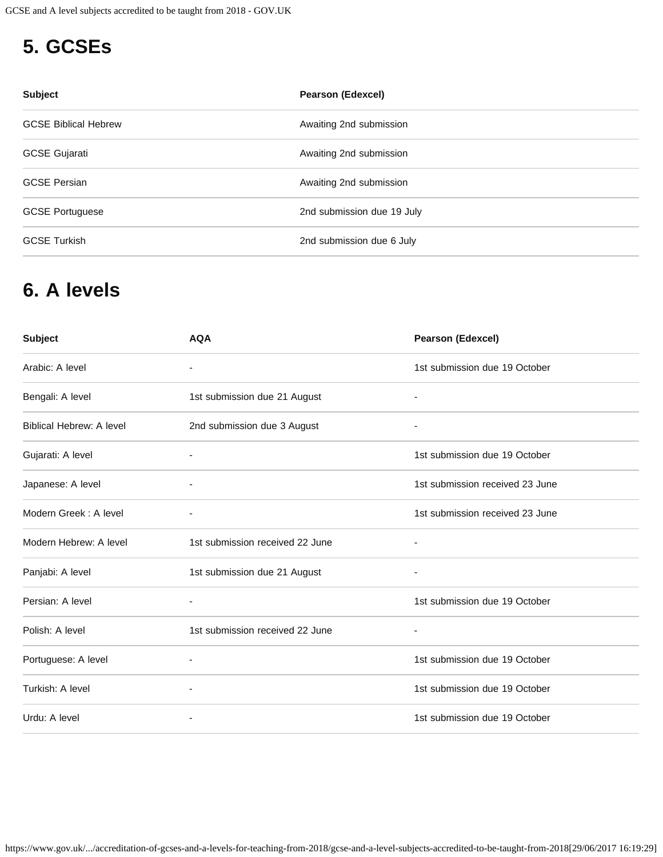# <span id="page-2-0"></span>**5. GCSEs**

| <b>Subject</b>              | <b>Pearson (Edexcel)</b>   |
|-----------------------------|----------------------------|
| <b>GCSE Biblical Hebrew</b> | Awaiting 2nd submission    |
| <b>GCSE Gujarati</b>        | Awaiting 2nd submission    |
| <b>GCSE Persian</b>         | Awaiting 2nd submission    |
| <b>GCSE Portuguese</b>      | 2nd submission due 19 July |
| <b>GCSE Turkish</b>         | 2nd submission due 6 July  |

### <span id="page-2-1"></span>**6. A levels**

| <b>Subject</b>                  | <b>AQA</b>                      | <b>Pearson (Edexcel)</b>        |
|---------------------------------|---------------------------------|---------------------------------|
| Arabic: A level                 | $\overline{\phantom{a}}$        | 1st submission due 19 October   |
| Bengali: A level                | 1st submission due 21 August    | $\overline{\phantom{a}}$        |
| <b>Biblical Hebrew: A level</b> | 2nd submission due 3 August     | -                               |
| Gujarati: A level               |                                 | 1st submission due 19 October   |
| Japanese: A level               | $\overline{a}$                  | 1st submission received 23 June |
| Modern Greek: A level           |                                 | 1st submission received 23 June |
| Modern Hebrew: A level          | 1st submission received 22 June | $\overline{\phantom{a}}$        |
| Panjabi: A level                | 1st submission due 21 August    | ٠                               |
| Persian: A level                | ٠                               | 1st submission due 19 October   |
| Polish: A level                 | 1st submission received 22 June | $\overline{\phantom{a}}$        |
| Portuguese: A level             |                                 | 1st submission due 19 October   |
| Turkish: A level                | $\overline{\phantom{a}}$        | 1st submission due 19 October   |
| Urdu: A level                   |                                 | 1st submission due 19 October   |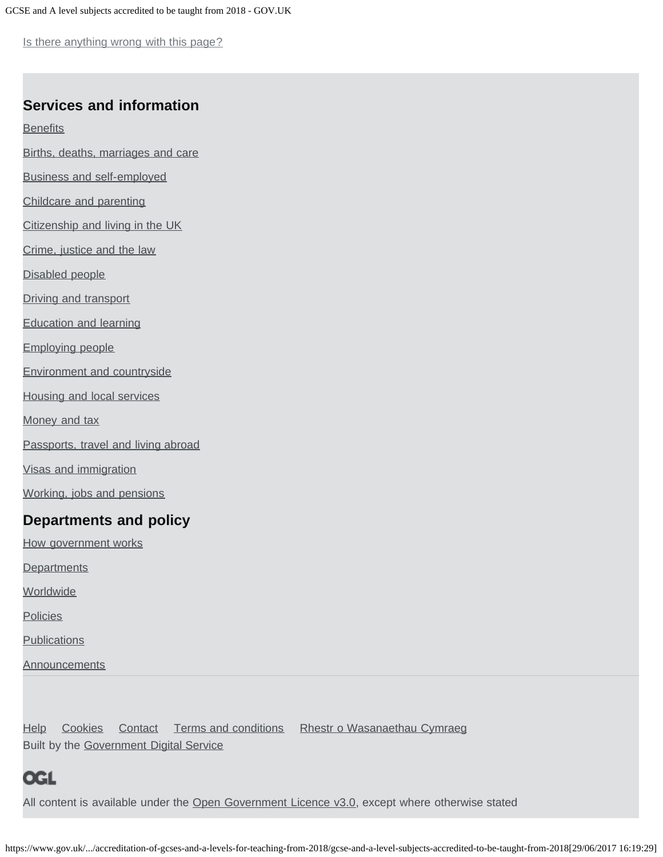Is there anything wrong with this page?

#### **Services and information**

**[Benefits](https://www.gov.uk/browse/benefits)** 

[Births, deaths, marriages and care](https://www.gov.uk/browse/births-deaths-marriages)

[Business and self-employed](https://www.gov.uk/browse/business)

[Childcare and parenting](https://www.gov.uk/browse/childcare-parenting)

[Citizenship and living in the UK](https://www.gov.uk/browse/citizenship)

[Crime, justice and the law](https://www.gov.uk/browse/justice)

[Disabled people](https://www.gov.uk/browse/disabilities)

[Driving and transport](https://www.gov.uk/browse/driving)

[Education and learning](https://www.gov.uk/browse/education)

[Employing people](https://www.gov.uk/browse/employing-people)

[Environment and countryside](https://www.gov.uk/browse/environment-countryside)

[Housing and local services](https://www.gov.uk/browse/housing-local-services)

[Money and tax](https://www.gov.uk/browse/tax)

[Passports, travel and living abroad](https://www.gov.uk/browse/abroad)

[Visas and immigration](https://www.gov.uk/browse/visas-immigration)

[Working, jobs and pensions](https://www.gov.uk/browse/working)

#### **Departments and policy**

[How government works](https://www.gov.uk/government/how-government-works)

**[Departments](https://www.gov.uk/government/organisations)** 

**[Worldwide](https://www.gov.uk/government/world)** 

**[Policies](https://www.gov.uk/government/policies)** 

**[Publications](https://www.gov.uk/government/publications)** 

**[Announcements](https://www.gov.uk/government/announcements)** 

[Help](https://www.gov.uk/help) [Cookies](https://www.gov.uk/help/cookies) [Contact](https://www.gov.uk/contact) [Terms and conditions](https://www.gov.uk/help/terms-conditions) [Rhestr o Wasanaethau Cymraeg](https://www.gov.uk/cymraeg) Built by the [Government Digital Service](https://www.gov.uk/government/organisations/government-digital-service)

### OGL

All content is available under the [Open Government Licence v3.0,](https://www.nationalarchives.gov.uk/doc/open-government-licence/version/3/) except where otherwise stated